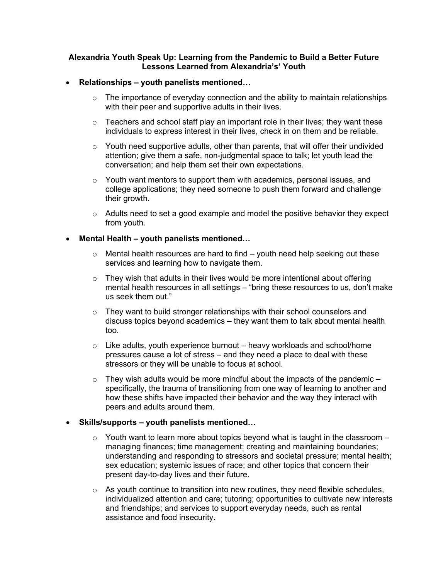#### **Alexandria Youth Speak Up: Learning from the Pandemic to Build a Better Future Lessons Learned from Alexandria's' Youth**

#### • **Relationships – youth panelists mentioned…**

- $\circ$  The importance of everyday connection and the ability to maintain relationships with their peer and supportive adults in their lives.
- $\circ$  Teachers and school staff play an important role in their lives; they want these individuals to express interest in their lives, check in on them and be reliable.
- $\circ$  Youth need supportive adults, other than parents, that will offer their undivided attention; give them a safe, non-judgmental space to talk; let youth lead the conversation; and help them set their own expectations.
- $\circ$  Youth want mentors to support them with academics, personal issues, and college applications; they need someone to push them forward and challenge their growth.
- o Adults need to set a good example and model the positive behavior they expect from youth.

#### • **Mental Health – youth panelists mentioned…**

- $\circ$  Mental health resources are hard to find youth need help seeking out these services and learning how to navigate them.
- $\circ$  They wish that adults in their lives would be more intentional about offering mental health resources in all settings – "bring these resources to us, don't make us seek them out."
- $\circ$  They want to build stronger relationships with their school counselors and discuss topics beyond academics – they want them to talk about mental health too.
- $\circ$  Like adults, youth experience burnout heavy workloads and school/home pressures cause a lot of stress – and they need a place to deal with these stressors or they will be unable to focus at school.
- $\circ$  They wish adults would be more mindful about the impacts of the pandemic specifically, the trauma of transitioning from one way of learning to another and how these shifts have impacted their behavior and the way they interact with peers and adults around them.

## • **Skills/supports – youth panelists mentioned…**

- $\circ$  Youth want to learn more about topics beyond what is taught in the classroom managing finances; time management; creating and maintaining boundaries; understanding and responding to stressors and societal pressure; mental health; sex education; systemic issues of race; and other topics that concern their present day-to-day lives and their future.
- $\circ$  As youth continue to transition into new routines, they need flexible schedules, individualized attention and care; tutoring; opportunities to cultivate new interests and friendships; and services to support everyday needs, such as rental assistance and food insecurity.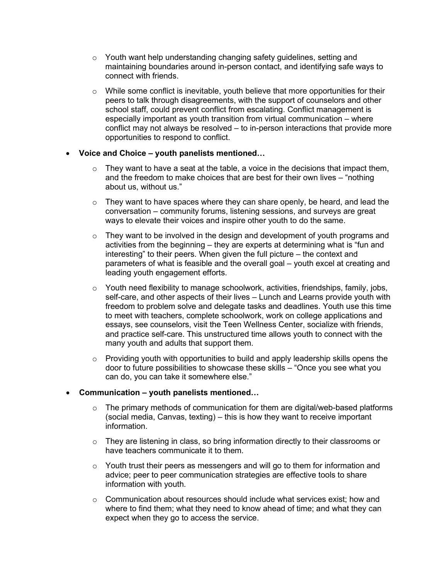- o Youth want help understanding changing safety guidelines, setting and maintaining boundaries around in-person contact, and identifying safe ways to connect with friends.
- $\circ$  While some conflict is inevitable, youth believe that more opportunities for their peers to talk through disagreements, with the support of counselors and other school staff, could prevent conflict from escalating. Conflict management is especially important as youth transition from virtual communication – where conflict may not always be resolved – to in-person interactions that provide more opportunities to respond to conflict.

## • **Voice and Choice – youth panelists mentioned…**

- $\circ$  They want to have a seat at the table, a voice in the decisions that impact them, and the freedom to make choices that are best for their own lives – "nothing about us, without us."
- $\circ$  They want to have spaces where they can share openly, be heard, and lead the conversation – community forums, listening sessions, and surveys are great ways to elevate their voices and inspire other youth to do the same.
- $\circ$  They want to be involved in the design and development of youth programs and activities from the beginning – they are experts at determining what is "fun and interesting" to their peers. When given the full picture – the context and parameters of what is feasible and the overall goal – youth excel at creating and leading youth engagement efforts.
- $\circ$  Youth need flexibility to manage schoolwork, activities, friendships, family, jobs, self-care, and other aspects of their lives – Lunch and Learns provide youth with freedom to problem solve and delegate tasks and deadlines. Youth use this time to meet with teachers, complete schoolwork, work on college applications and essays, see counselors, visit the Teen Wellness Center, socialize with friends, and practice self-care. This unstructured time allows youth to connect with the many youth and adults that support them.
- $\circ$  Providing youth with opportunities to build and apply leadership skills opens the door to future possibilities to showcase these skills – "Once you see what you can do, you can take it somewhere else."

## • **Communication – youth panelists mentioned…**

- $\circ$  The primary methods of communication for them are digital/web-based platforms (social media, Canvas, texting) – this is how they want to receive important information.
- $\circ$  They are listening in class, so bring information directly to their classrooms or have teachers communicate it to them.
- o Youth trust their peers as messengers and will go to them for information and advice; peer to peer communication strategies are effective tools to share information with youth.
- $\circ$  Communication about resources should include what services exist; how and where to find them; what they need to know ahead of time; and what they can expect when they go to access the service.